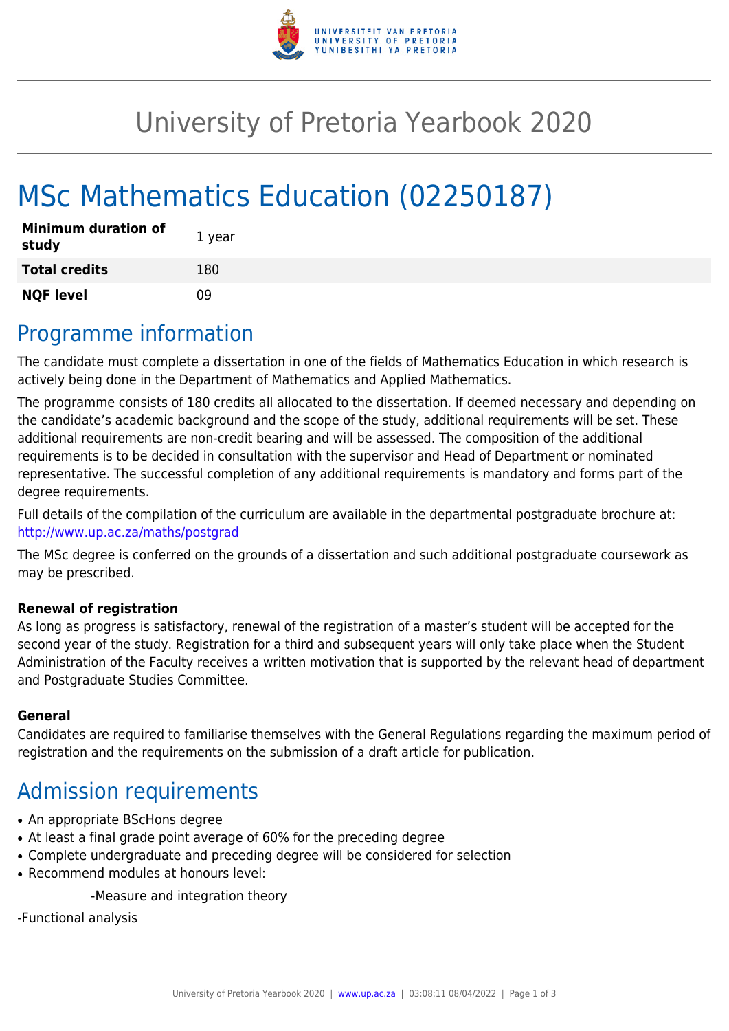

## University of Pretoria Yearbook 2020

# MSc Mathematics Education (02250187)

| <b>Minimum duration of</b><br>study | 1 year |
|-------------------------------------|--------|
| <b>Total credits</b>                | 180    |
| <b>NQF level</b>                    | n۹     |

### Programme information

The candidate must complete a dissertation in one of the fields of Mathematics Education in which research is actively being done in the Department of Mathematics and Applied Mathematics.

The programme consists of 180 credits all allocated to the dissertation. If deemed necessary and depending on the candidate's academic background and the scope of the study, additional requirements will be set. These additional requirements are non-credit bearing and will be assessed. The composition of the additional requirements is to be decided in consultation with the supervisor and Head of Department or nominated representative. The successful completion of any additional requirements is mandatory and forms part of the degree requirements.

Full details of the compilation of the curriculum are available in the departmental postgraduate brochure at: <http://www.up.ac.za/maths/postgrad>

The MSc degree is conferred on the grounds of a dissertation and such additional postgraduate coursework as may be prescribed.

#### **Renewal of registration**

As long as progress is satisfactory, renewal of the registration of a master's student will be accepted for the second year of the study. Registration for a third and subsequent years will only take place when the Student Administration of the Faculty receives a written motivation that is supported by the relevant head of department and Postgraduate Studies Committee.

#### **General**

Candidates are required to familiarise themselves with the General Regulations regarding the maximum period of registration and the requirements on the submission of a draft article for publication.

#### Admission requirements

- An appropriate BScHons degree
- At least a final grade point average of 60% for the preceding degree
- Complete undergraduate and preceding degree will be considered for selection
- Recommend modules at honours level:

-Measure and integration theory

-Functional analysis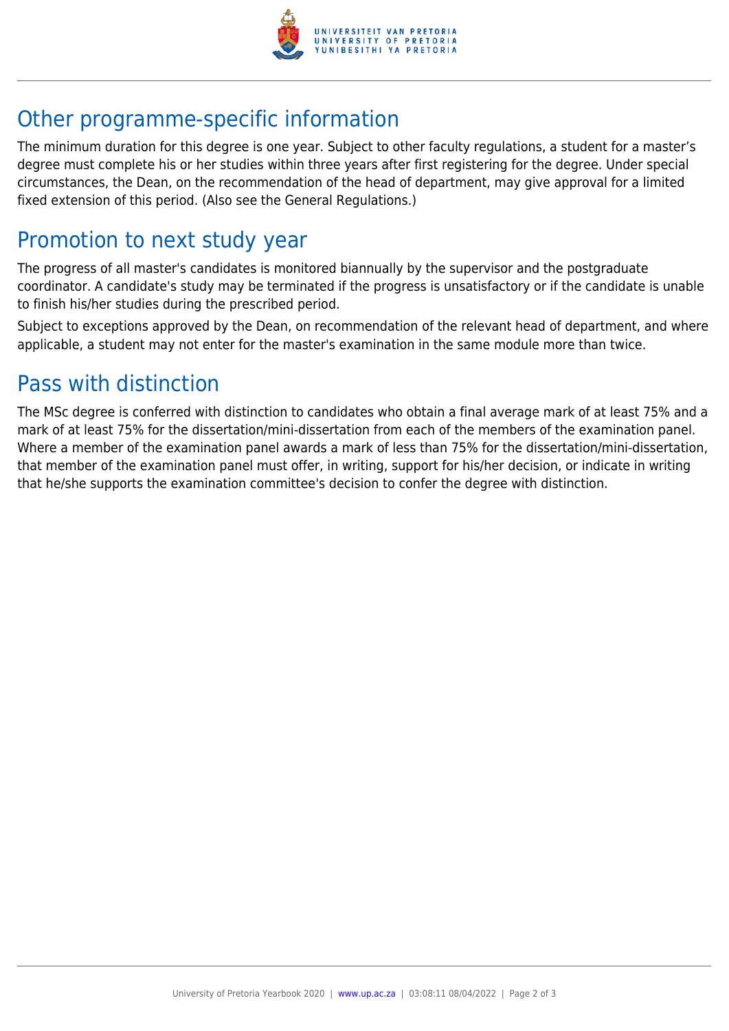

## Other programme-specific information

The minimum duration for this degree is one year. Subject to other faculty regulations, a student for a master's degree must complete his or her studies within three years after first registering for the degree. Under special circumstances, the Dean, on the recommendation of the head of department, may give approval for a limited fixed extension of this period. (Also see the General Regulations.)

#### Promotion to next study year

The progress of all master's candidates is monitored biannually by the supervisor and the postgraduate coordinator. A candidate's study may be terminated if the progress is unsatisfactory or if the candidate is unable to finish his/her studies during the prescribed period.

Subject to exceptions approved by the Dean, on recommendation of the relevant head of department, and where applicable, a student may not enter for the master's examination in the same module more than twice.

#### Pass with distinction

The MSc degree is conferred with distinction to candidates who obtain a final average mark of at least 75% and a mark of at least 75% for the dissertation/mini-dissertation from each of the members of the examination panel. Where a member of the examination panel awards a mark of less than 75% for the dissertation/mini-dissertation, that member of the examination panel must offer, in writing, support for his/her decision, or indicate in writing that he/she supports the examination committee's decision to confer the degree with distinction.